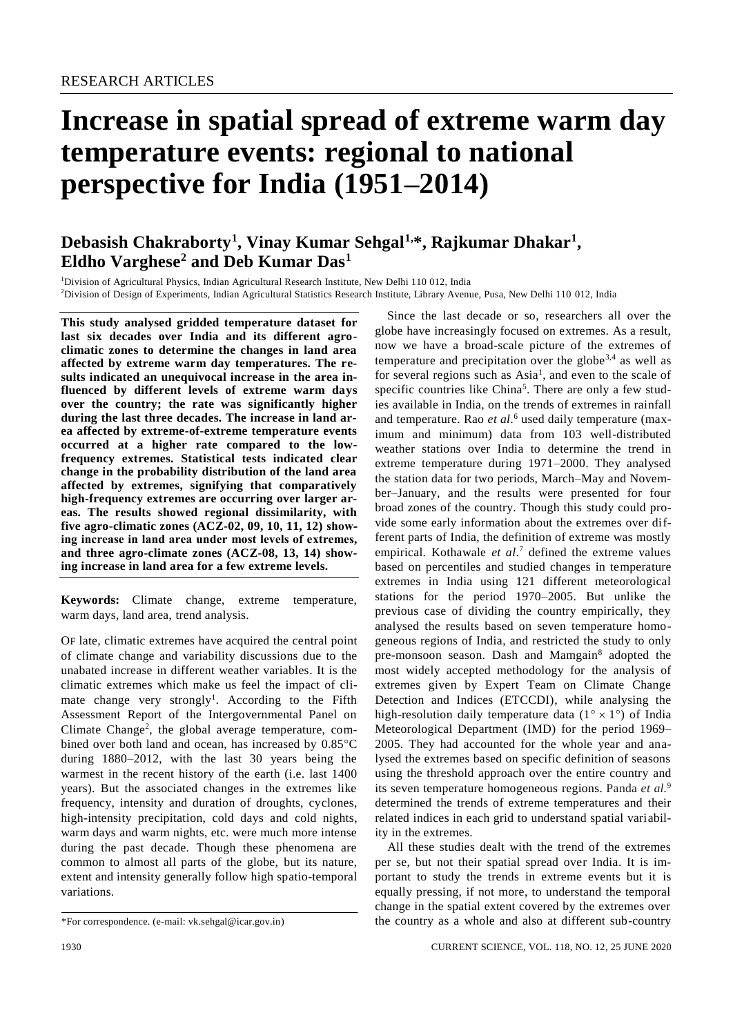# **Increase in spatial spread of extreme warm day temperature events: regional to national perspective for India (1951–2014)**

# **Debasish Chakraborty<sup>1</sup> , Vinay Kumar Sehgal1,\*, Rajkumar Dhakar<sup>1</sup> , Eldho Varghese<sup>2</sup> and Deb Kumar Das<sup>1</sup>**

<sup>1</sup>Division of Agricultural Physics, Indian Agricultural Research Institute, New Delhi 110 012, India <sup>2</sup>Division of Design of Experiments, Indian Agricultural Statistics Research Institute, Library Avenue, Pusa, New Delhi 110 012, India

**This study analysed gridded temperature dataset for last six decades over India and its different agroclimatic zones to determine the changes in land area affected by extreme warm day temperatures. The results indicated an unequivocal increase in the area influenced by different levels of extreme warm days over the country; the rate was significantly higher during the last three decades. The increase in land area affected by extreme-of-extreme temperature events occurred at a higher rate compared to the lowfrequency extremes. Statistical tests indicated clear change in the probability distribution of the land area affected by extremes, signifying that comparatively high-frequency extremes are occurring over larger areas. The results showed regional dissimilarity, with five agro-climatic zones (ACZ-02, 09, 10, 11, 12) showing increase in land area under most levels of extremes, and three agro-climate zones (ACZ-08, 13, 14) showing increase in land area for a few extreme levels.**

**Keywords:** Climate change, extreme temperature, warm days, land area, trend analysis.

OF late, climatic extremes have acquired the central point of climate change and variability discussions due to the unabated increase in different weather variables. It is the climatic extremes which make us feel the impact of climate change very strongly<sup>1</sup>. According to the Fifth Assessment Report of the Intergovernmental Panel on Climate Change<sup>2</sup>, the global average temperature, combined over both land and ocean, has increased by  $0.85^{\circ}$ C during 1880–2012, with the last 30 years being the warmest in the recent history of the earth (i.e. last 1400 years). But the associated changes in the extremes like frequency, intensity and duration of droughts, cyclones, high-intensity precipitation, cold days and cold nights, warm days and warm nights, etc. were much more intense during the past decade. Though these phenomena are common to almost all parts of the globe, but its nature, extent and intensity generally follow high spatio-temporal variations.

globe have increasingly focused on extremes. As a result, now we have a broad-scale picture of the extremes of temperature and precipitation over the globe<sup>3,4</sup> as well as for several regions such as Asia<sup>1</sup>, and even to the scale of specific countries like China<sup>5</sup>. There are only a few studies available in India, on the trends of extremes in rainfall and temperature. Rao *et al*. <sup>6</sup> used daily temperature (maximum and minimum) data from 103 well-distributed weather stations over India to determine the trend in extreme temperature during 1971–2000. They analysed the station data for two periods, March–May and November–January, and the results were presented for four broad zones of the country. Though this study could provide some early information about the extremes over different parts of India, the definition of extreme was mostly empirical. Kothawale *et al*. <sup>7</sup> defined the extreme values based on percentiles and studied changes in temperature extremes in India using 121 different meteorological stations for the period 1970–2005. But unlike the previous case of dividing the country empirically, they analysed the results based on seven temperature homogeneous regions of India, and restricted the study to only pre-monsoon season. Dash and Mamgain<sup>8</sup> adopted the most widely accepted methodology for the analysis of extremes given by Expert Team on Climate Change Detection and Indices (ETCCDI), while analysing the high-resolution daily temperature data  $(1^{\circ} \times 1^{\circ})$  of India Meteorological Department (IMD) for the period 1969– 2005. They had accounted for the whole year and analysed the extremes based on specific definition of seasons using the threshold approach over the entire country and its seven temperature homogeneous regions. Panda *et al.*<sup>9</sup> determined the trends of extreme temperatures and their related indices in each grid to understand spatial variability in the extremes.

Since the last decade or so, researchers all over the

All these studies dealt with the trend of the extremes per se, but not their spatial spread over India. It is important to study the trends in extreme events but it is equally pressing, if not more, to understand the temporal change in the spatial extent covered by the extremes over the country as a whole and also at different sub-country

<sup>\*</sup>For correspondence. (e-mail: vk.sehgal@icar.gov.in)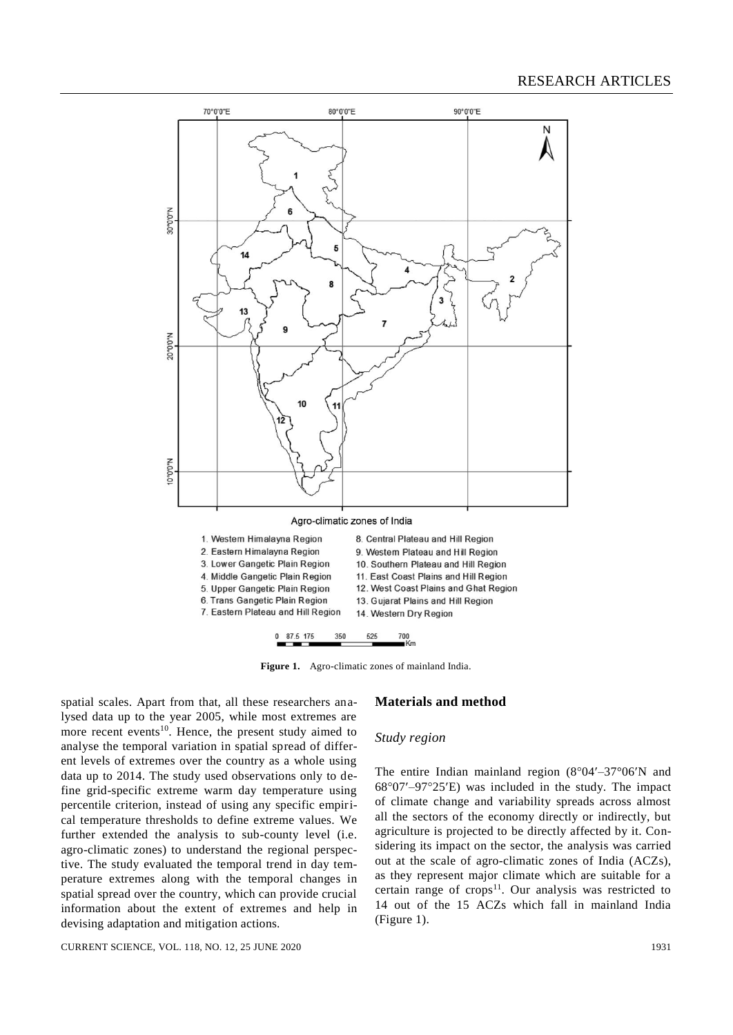

**Figure 1.** Agro-climatic zones of mainland India.

spatial scales. Apart from that, all these researchers analysed data up to the year 2005, while most extremes are more recent events<sup>10</sup>. Hence, the present study aimed to analyse the temporal variation in spatial spread of different levels of extremes over the country as a whole using data up to 2014. The study used observations only to define grid-specific extreme warm day temperature using percentile criterion, instead of using any specific empirical temperature thresholds to define extreme values. We further extended the analysis to sub-county level (i.e. agro-climatic zones) to understand the regional perspective. The study evaluated the temporal trend in day temperature extremes along with the temporal changes in spatial spread over the country, which can provide crucial information about the extent of extremes and help in devising adaptation and mitigation actions.

# **Materials and method**

#### *Study region*

The entire Indian mainland region  $(8°04' - 37°06'N$  and  $68^{\circ}07'$ –97°25'E) was included in the study. The impact of climate change and variability spreads across almost all the sectors of the economy directly or indirectly, but agriculture is projected to be directly affected by it. Considering its impact on the sector, the analysis was carried out at the scale of agro-climatic zones of India (ACZs), as they represent major climate which are suitable for a certain range of crops<sup>11</sup>. Our analysis was restricted to 14 out of the 15 ACZs which fall in mainland India (Figure 1).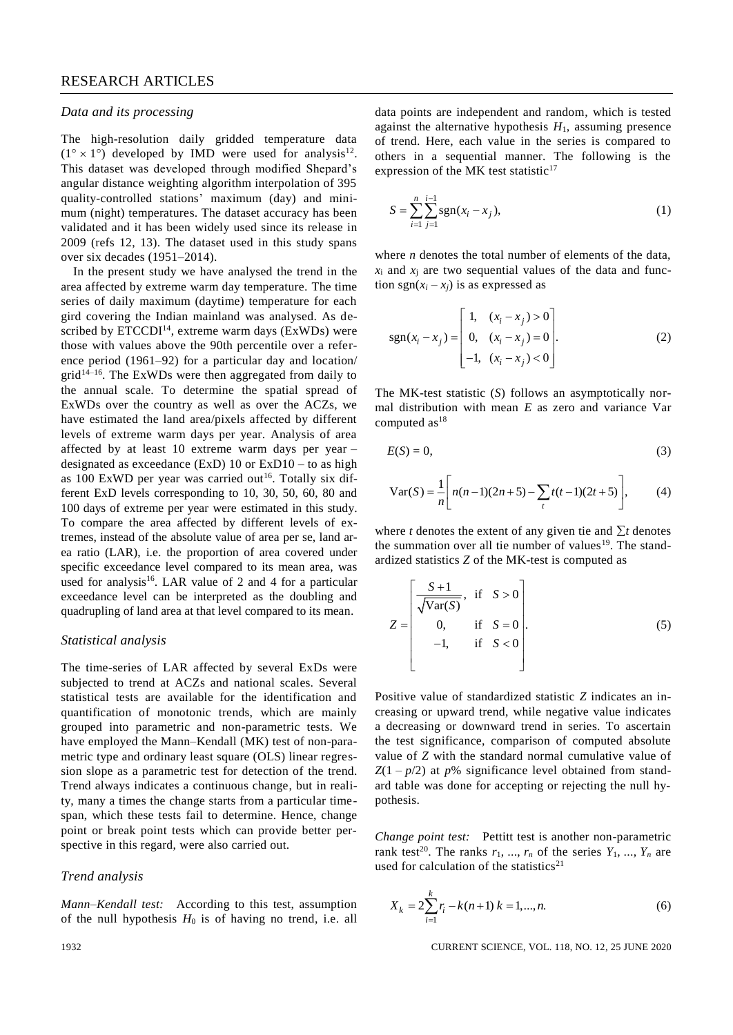# RESEARCH ARTICLES

#### *Data and its processing*

The high-resolution daily gridded temperature data  $(1^{\circ} \times 1^{\circ})$  developed by IMD were used for analysis<sup>12</sup>. This dataset was developed through modified Shepard's angular distance weighting algorithm interpolation of 395 quality-controlled stations' maximum (day) and minimum (night) temperatures. The dataset accuracy has been validated and it has been widely used since its release in 2009 (refs 12, 13). The dataset used in this study spans over six decades (1951–2014).

In the present study we have analysed the trend in the area affected by extreme warm day temperature. The time series of daily maximum (daytime) temperature for each gird covering the Indian mainland was analysed. As described by  $ETCCDI<sup>14</sup>$ , extreme warm days (ExWDs) were those with values above the 90th percentile over a reference period (1961–92) for a particular day and location/  $grid^{14-16}$ . The ExWDs were then aggregated from daily to the annual scale. To determine the spatial spread of ExWDs over the country as well as over the ACZs, we have estimated the land area/pixels affected by different levels of extreme warm days per year. Analysis of area affected by at least 10 extreme warm days per year – designated as exceedance (ExD)  $10$  or ExD $10 -$  to as high as 100 ExWD per year was carried out<sup>16</sup>. Totally six different ExD levels corresponding to 10, 30, 50, 60, 80 and 100 days of extreme per year were estimated in this study. To compare the area affected by different levels of extremes, instead of the absolute value of area per se, land area ratio (LAR), i.e. the proportion of area covered under specific exceedance level compared to its mean area, was used for analysis<sup>16</sup>. LAR value of 2 and 4 for a particular exceedance level can be interpreted as the doubling and quadrupling of land area at that level compared to its mean.

#### *Statistical analysis*

The time-series of LAR affected by several ExDs were subjected to trend at ACZs and national scales. Several statistical tests are available for the identification and quantification of monotonic trends, which are mainly grouped into parametric and non-parametric tests. We have employed the Mann–Kendall (MK) test of non-parametric type and ordinary least square (OLS) linear regression slope as a parametric test for detection of the trend. Trend always indicates a continuous change, but in reality, many a times the change starts from a particular timespan, which these tests fail to determine. Hence, change point or break point tests which can provide better perspective in this regard, were also carried out.

# *Trend analysis*

*Mann–Kendall test:* According to this test, assumption of the null hypothesis  $H_0$  is of having no trend, i.e. all data points are independent and random, which is tested against the alternative hypothesis  $H_1$ , assuming presence of trend. Here, each value in the series is compared to others in a sequential manner. The following is the expression of the MK test statistic<sup>17</sup>

$$
S = \sum_{i=1}^{n} \sum_{j=1}^{i-1} \text{sgn}(x_i - x_j),
$$
 (1)

where *n* denotes the total number of elements of the data,  $x_i$  and  $x_i$  are two sequential values of the data and function sgn( $x_i - x_j$ ) is as expressed as

$$
sgn(x_i - x_j) = \begin{bmatrix} 1, & (x_i - x_j) > 0 \\ 0, & (x_i - x_j) = 0 \\ -1, & (x_i - x_j) < 0 \end{bmatrix}.
$$
 (2)

The MK-test statistic (*S*) follows an asymptotically normal distribution with mean *E* as zero and variance Var computed  $as<sup>18</sup>$ 

$$
E(S) = 0,\t\t(3)
$$

$$
\text{Var}(S) = \frac{1}{n} \left[ n(n-1)(2n+5) - \sum_{t} t(t-1)(2t+5) \right],\tag{4}
$$

where *t* denotes the extent of any given tie and  $\Sigma t$  denotes the summation over all tie number of values<sup>19</sup>. The standardized statistics *Z* of the MK-test is computed as

$$
Z = \begin{bmatrix} S+1 & \text{if } S > 0 \\ \sqrt{\text{Var}(S)} & \text{if } S = 0 \\ 0, & \text{if } S = 0 \\ -1, & \text{if } S < 0 \end{bmatrix}.
$$
 (5)

Positive value of standardized statistic *Z* indicates an increasing or upward trend, while negative value indicates a decreasing or downward trend in series. To ascertain the test significance, comparison of computed absolute value of *Z* with the standard normal cumulative value of  $Z(1 - p/2)$  at  $p$ % significance level obtained from standard table was done for accepting or rejecting the null hypothesis.

*Change point test:* Pettitt test is another non-parametric rank test<sup>20</sup>. The ranks  $r_1$ , ...,  $r_n$  of the series  $Y_1$ , ...,  $Y_n$  are used for calculation of the statistics $21$ 

$$
X_k = 2\sum_{i=1}^k r_i - k(n+1) \ k = 1, ..., n. \tag{6}
$$

1932 CURRENT SCIENCE, VOL. 118, NO. 12, 25 JUNE 2020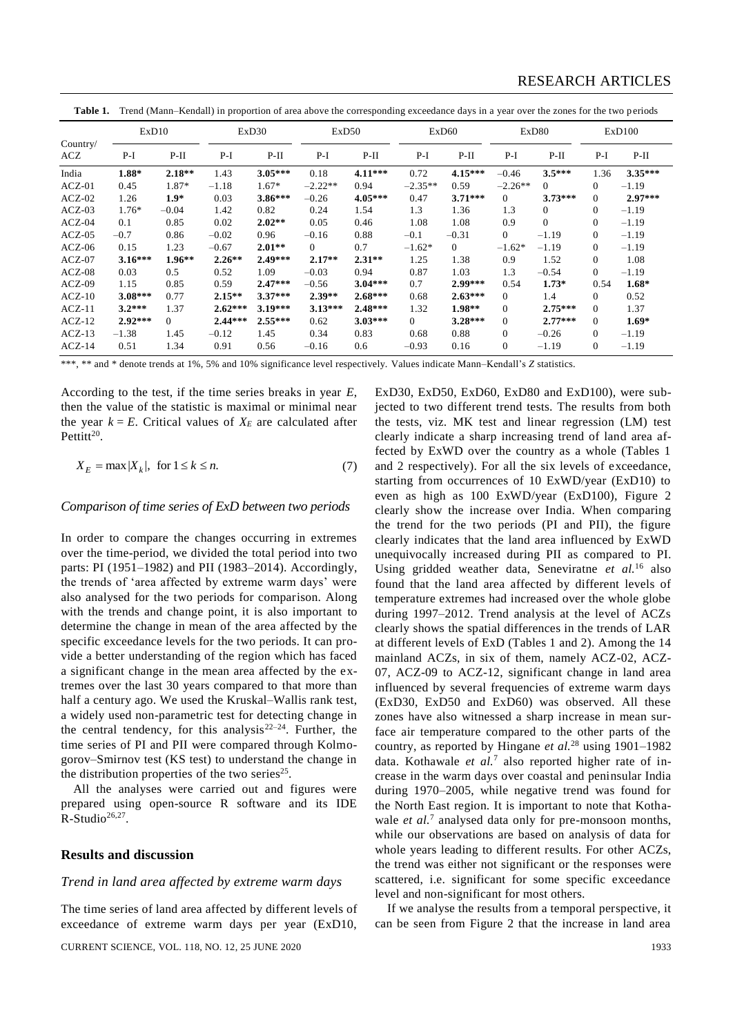Table 1. Trend (Mann–Kendall) in proportion of area above the corresponding exceedance days in a year over the zones for the two periods

|                 | ExD10     |          | ExD30     |           | ExD50     |           | ExD60     |                | ExD <sub>80</sub> |                | ExD100         |           |
|-----------------|-----------|----------|-----------|-----------|-----------|-----------|-----------|----------------|-------------------|----------------|----------------|-----------|
| Country/<br>ACZ | $P-I$     | $P-II$   | $P-I$     | $P-II$    | $P-I$     | $P-II$    | P-I       | $P-II$         | P-I               | $P-II$         | $P-I$          | $P-II$    |
| India           | $1.88*$   | $2.18**$ | 1.43      | $3.05***$ | 0.18      | $4.11***$ | 0.72      | $4.15***$      | $-0.46$           | $3.5***$       | 1.36           | $3.35***$ |
| $ACZ-01$        | 0.45      | 1.87*    | $-1.18$   | 1.67*     | $-2.22**$ | 0.94      | $-2.35**$ | 0.59           | $-2.26**$         | $\Omega$       | $\Omega$       | $-1.19$   |
| $ACZ-02$        | 1.26      | $1.9*$   | 0.03      | $3.86***$ | $-0.26$   | $4.05***$ | 0.47      | $3.71***$      | $\Omega$          | $3.73***$      | $\Omega$       | $2.97***$ |
| $ACZ-03$        | $1.76*$   | $-0.04$  | 1.42      | 0.82      | 0.24      | 1.54      | 1.3       | 1.36           | 1.3               | $\overline{0}$ | $\mathbf{0}$   | $-1.19$   |
| $ACZ-04$        | 0.1       | 0.85     | 0.02      | $2.02**$  | 0.05      | 0.46      | 1.08      | 1.08           | 0.9               | $\Omega$       | $\Omega$       | $-1.19$   |
| $ACZ-05$        | $-0.7$    | 0.86     | $-0.02$   | 0.96      | $-0.16$   | 0.88      | $-0.1$    | $-0.31$        | $\overline{0}$    | $-1.19$        | $\Omega$       | $-1.19$   |
| $ACZ-06$        | 0.15      | 1.23     | $-0.67$   | $2.01**$  | $\Omega$  | 0.7       | $-1.62*$  | $\overline{0}$ | $-1.62*$          | $-1.19$        | $\Omega$       | $-1.19$   |
| $ACZ-07$        | $3.16***$ | $1.96**$ | $2.26**$  | $2.49***$ | $2.17**$  | $2.31**$  | 1.25      | 1.38           | 0.9               | 1.52           | $\Omega$       | 1.08      |
| $ACZ-08$        | 0.03      | 0.5      | 0.52      | 1.09      | $-0.03$   | 0.94      | 0.87      | 1.03           | 1.3               | $-0.54$        | $\overline{0}$ | $-1.19$   |
| $ACZ-09$        | 1.15      | 0.85     | 0.59      | $2.47***$ | $-0.56$   | $3.04***$ | 0.7       | $2.99***$      | 0.54              | $1.73*$        | 0.54           | $1.68*$   |
| $ACZ-10$        | $3.08***$ | 0.77     | $2.15**$  | $3.37***$ | $2.39**$  | $2.68***$ | 0.68      | $2.63***$      | $\Omega$          | 1.4            | $\Omega$       | 0.52      |
| $ACZ-11$        | $3.2***$  | 1.37     | $2.62***$ | $3.19***$ | $3.13***$ | $2.48***$ | 1.32      | $1.98**$       | $\Omega$          | $2.75***$      | $\Omega$       | 1.37      |
| $ACZ-12$        | $2.92***$ | $\Omega$ | $2.44***$ | $2.55***$ | 0.62      | $3.03***$ | $\Omega$  | $3.28***$      | $\Omega$          | $2.77***$      | $\Omega$       | $1.69*$   |
| $ACZ-13$        | $-1.38$   | 1.45     | $-0.12$   | 1.45      | 0.34      | 0.83      | 0.68      | 0.88           | $\mathbf{0}$      | $-0.26$        | $\Omega$       | $-1.19$   |
| $ACZ-14$        | 0.51      | 1.34     | 0.91      | 0.56      | $-0.16$   | 0.6       | $-0.93$   | 0.16           | $\mathbf{0}$      | $-1.19$        | $\mathbf{0}$   | $-1.19$   |

\*\*\*, \*\* and \* denote trends at 1%, 5% and 10% significance level respectively. Values indicate Mann–Kendall's *Z* statistics.

According to the test, if the time series breaks in year *E*, then the value of the statistic is maximal or minimal near the year  $k = E$ . Critical values of  $X_E$  are calculated after Pettitt $20$ .

$$
X_E = \max |X_k|, \text{ for } 1 \le k \le n. \tag{7}
$$

#### *Comparison of time series of ExD between two periods*

In order to compare the changes occurring in extremes over the time-period, we divided the total period into two parts: PI (1951–1982) and PII (1983–2014). Accordingly, the trends of 'area affected by extreme warm days' were also analysed for the two periods for comparison. Along with the trends and change point, it is also important to determine the change in mean of the area affected by the specific exceedance levels for the two periods. It can provide a better understanding of the region which has faced a significant change in the mean area affected by the extremes over the last 30 years compared to that more than half a century ago. We used the Kruskal–Wallis rank test, a widely used non-parametric test for detecting change in the central tendency, for this analysis<sup>22–24</sup>. Further, the time series of PI and PII were compared through Kolmogorov–Smirnov test (KS test) to understand the change in the distribution properties of the two series $25$ .

All the analyses were carried out and figures were prepared using open-source R software and its IDE  $R\text{-Studio}^{26,27}.$ 

## **Results and discussion**

#### *Trend in land area affected by extreme warm days*

The time series of land area affected by different levels of exceedance of extreme warm days per year (ExD10,

CURRENT SCIENCE, VOL. 118, NO. 12, 25 JUNE 2020 1933

ExD30, ExD50, ExD60, ExD80 and ExD100), were subjected to two different trend tests. The results from both the tests, viz. MK test and linear regression (LM) test clearly indicate a sharp increasing trend of land area affected by ExWD over the country as a whole (Tables 1 and 2 respectively). For all the six levels of exceedance, starting from occurrences of 10 ExWD/year (ExD10) to even as high as 100 ExWD/year (ExD100), Figure 2 clearly show the increase over India. When comparing the trend for the two periods (PI and PII), the figure clearly indicates that the land area influenced by ExWD unequivocally increased during PII as compared to PI. Using gridded weather data, Seneviratne *et al.*<sup>16</sup> also found that the land area affected by different levels of temperature extremes had increased over the whole globe during 1997–2012. Trend analysis at the level of ACZs clearly shows the spatial differences in the trends of LAR at different levels of ExD (Tables 1 and 2). Among the 14 mainland ACZs, in six of them, namely ACZ-02, ACZ-07, ACZ-09 to ACZ-12, significant change in land area influenced by several frequencies of extreme warm days (ExD30, ExD50 and ExD60) was observed. All these zones have also witnessed a sharp increase in mean surface air temperature compared to the other parts of the country, as reported by Hingane *et al.*<sup>28</sup> using 1901–1982 data. Kothawale *et al.*<sup>7</sup> also reported higher rate of increase in the warm days over coastal and peninsular India during 1970–2005, while negative trend was found for the North East region. It is important to note that Kothawale *et al.*<sup>7</sup> analysed data only for pre-monsoon months, while our observations are based on analysis of data for whole years leading to different results. For other ACZs, the trend was either not significant or the responses were scattered, i.e. significant for some specific exceedance level and non-significant for most others.

If we analyse the results from a temporal perspective, it can be seen from Figure 2 that the increase in land area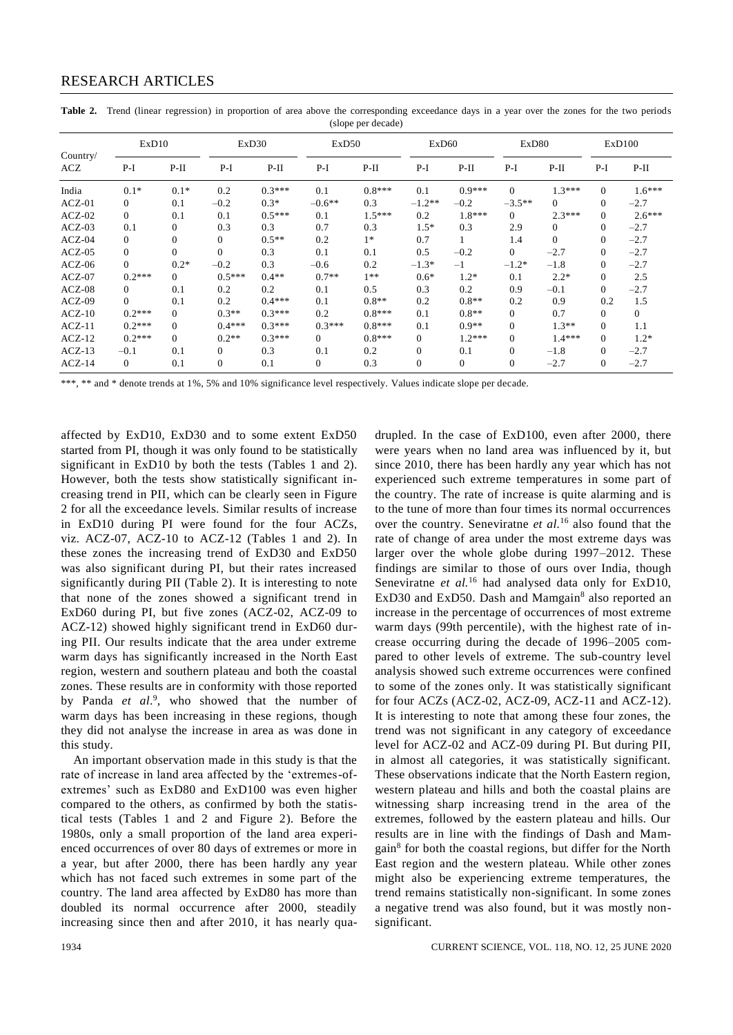| Country/<br>ACZ | ExD10          |          | ExD <sub>30</sub> |          | ExD50    |          | ExD <sub>60</sub> |          | ExD80          |                | ExD100           |              |
|-----------------|----------------|----------|-------------------|----------|----------|----------|-------------------|----------|----------------|----------------|------------------|--------------|
|                 | $P-I$          | $P-II$   | $P-I$             | $P-II$   | $P-I$    | $P-II$   | $P-I$             | $P-II$   | $P-I$          | $P-II$         | $P-I$            | $P-II$       |
| India           | $0.1*$         | $0.1*$   | 0.2               | $0.3***$ | 0.1      | $0.8***$ | 0.1               | $0.9***$ | $\Omega$       | $1.3***$       | $\mathbf{0}$     | $1.6***$     |
| $ACZ-01$        | $\overline{0}$ | 0.1      | $-0.2$            | $0.3*$   | $-0.6**$ | 0.3      | $-1.2**$          | $-0.2$   | $-3.5**$       | $\Omega$       | $\mathbf{0}$     | $-2.7$       |
| $ACZ-02$        | $\overline{0}$ | 0.1      | 0.1               | $0.5***$ | 0.1      | $1.5***$ | 0.2               | $1.8***$ | $\Omega$       | $2.3***$       | $\mathbf{0}$     | $2.6***$     |
| $ACZ-03$        | 0.1            | 0        | 0.3               | 0.3      | 0.7      | 0.3      | $1.5*$            | 0.3      | 2.9            | $\overline{0}$ | $\mathbf{0}$     | $-2.7$       |
| $ACZ-04$        | $\overline{0}$ | 0        | $\Omega$          | $0.5**$  | 0.2      | $1*$     | 0.7               |          | 1.4            | $\theta$       | $\boldsymbol{0}$ | $-2.7$       |
| $ACZ-05$        | $\overline{0}$ | $\Omega$ | $\Omega$          | 0.3      | 0.1      | 0.1      | 0.5               | $-0.2$   | $\overline{0}$ | $-2.7$         | $\mathbf{0}$     | $-2.7$       |
| $ACZ-06$        | $\overline{0}$ | $0.2*$   | $-0.2$            | 0.3      | $-0.6$   | 0.2      | $-1.3*$           | $^{-1}$  | $-1.2*$        | $-1.8$         | $\overline{0}$   | $-2.7$       |
| $ACZ-07$        | $0.2***$       | 0        | $0.5***$          | $0.4**$  | $0.7**$  | $1**$    | $0.6*$            | $1.2*$   | 0.1            | $2.2*$         | $\mathbf{0}$     | 2.5          |
| $ACZ-08$        | $\Omega$       | 0.1      | 0.2               | 0.2      | 0.1      | 0.5      | 0.3               | 0.2      | 0.9            | $-0.1$         | $\overline{0}$   | $-2.7$       |
| $ACZ-09$        | $\Omega$       | 0.1      | 0.2               | $0.4***$ | 0.1      | $0.8**$  | 0.2               | $0.8**$  | 0.2            | 0.9            | 0.2              | 1.5          |
| $ACZ-10$        | $0.2***$       | $\Omega$ | $0.3**$           | $0.3***$ | 0.2      | $0.8***$ | 0.1               | $0.8**$  | $\overline{0}$ | 0.7            | $\mathbf{0}$     | $\mathbf{0}$ |
| $ACZ-11$        | $0.2***$       | $\Omega$ | $0.4***$          | $0.3***$ | $0.3***$ | $0.8***$ | 0.1               | $0.9**$  | $\Omega$       | $1.3**$        | $\mathbf{0}$     | 1.1          |
| $ACZ-12$        | $0.2***$       | $\Omega$ | $0.2**$           | $0.3***$ | $\Omega$ | $0.8***$ | $\theta$          | $1.2***$ | $\Omega$       | $1.4***$       | $\mathbf{0}$     | $1.2*$       |
| $ACZ-13$        | $-0.1$         | 0.1      | $\Omega$          | 0.3      | 0.1      | 0.2      | $\overline{0}$    | 0.1      | $\Omega$       | $-1.8$         | $\mathbf{0}$     | $-2.7$       |
| $ACZ-14$        | $\overline{0}$ | 0.1      | $\mathbf{0}$      | 0.1      | $\Omega$ | 0.3      | $\mathbf{0}$      | $\Omega$ | $\mathbf{0}$   | $-2.7$         | $\mathbf{0}$     | $-2.7$       |

Table 2. Trend (linear regression) in proportion of area above the corresponding exceedance days in a year over the zones for the two periods (slope per decade)

\*\*\*, \*\* and \* denote trends at 1%, 5% and 10% significance level respectively. Values indicate slope per decade.

affected by ExD10, ExD30 and to some extent ExD50 started from PI, though it was only found to be statistically significant in ExD10 by both the tests (Tables 1 and 2). However, both the tests show statistically significant increasing trend in PII, which can be clearly seen in Figure 2 for all the exceedance levels. Similar results of increase in ExD10 during PI were found for the four ACZs, viz. ACZ-07, ACZ-10 to ACZ-12 (Tables 1 and 2). In these zones the increasing trend of ExD30 and ExD50 was also significant during PI, but their rates increased significantly during PII (Table 2). It is interesting to note that none of the zones showed a significant trend in ExD60 during PI, but five zones (ACZ-02, ACZ-09 to ACZ-12) showed highly significant trend in ExD60 during PII. Our results indicate that the area under extreme warm days has significantly increased in the North East region, western and southern plateau and both the coastal zones. These results are in conformity with those reported by Panda et al.<sup>9</sup>, who showed that the number of warm days has been increasing in these regions, though they did not analyse the increase in area as was done in this study.

An important observation made in this study is that the rate of increase in land area affected by the 'extremes-ofextremes' such as ExD80 and ExD100 was even higher compared to the others, as confirmed by both the statistical tests (Tables 1 and 2 and Figure 2). Before the 1980s, only a small proportion of the land area experienced occurrences of over 80 days of extremes or more in a year, but after 2000, there has been hardly any year which has not faced such extremes in some part of the country. The land area affected by ExD80 has more than doubled its normal occurrence after 2000, steadily increasing since then and after 2010, it has nearly quadrupled. In the case of ExD100, even after 2000, there were years when no land area was influenced by it, but since 2010, there has been hardly any year which has not experienced such extreme temperatures in some part of the country. The rate of increase is quite alarming and is to the tune of more than four times its normal occurrences over the country. Seneviratne *et al.* <sup>16</sup> also found that the rate of change of area under the most extreme days was larger over the whole globe during 1997–2012. These findings are similar to those of ours over India, though Seneviratne *et al.*<sup>16</sup> had analysed data only for ExD10, ExD30 and ExD50. Dash and Mamgain<sup>8</sup> also reported an increase in the percentage of occurrences of most extreme warm days (99th percentile), with the highest rate of increase occurring during the decade of 1996–2005 compared to other levels of extreme. The sub-country level analysis showed such extreme occurrences were confined to some of the zones only. It was statistically significant for four ACZs (ACZ-02, ACZ-09, ACZ-11 and ACZ-12). It is interesting to note that among these four zones, the trend was not significant in any category of exceedance level for ACZ-02 and ACZ-09 during PI. But during PII, in almost all categories, it was statistically significant. These observations indicate that the North Eastern region, western plateau and hills and both the coastal plains are witnessing sharp increasing trend in the area of the extremes, followed by the eastern plateau and hills. Our results are in line with the findings of Dash and Mamgain<sup>8</sup> for both the coastal regions, but differ for the North East region and the western plateau. While other zones might also be experiencing extreme temperatures, the trend remains statistically non-significant. In some zones a negative trend was also found, but it was mostly nonsignificant.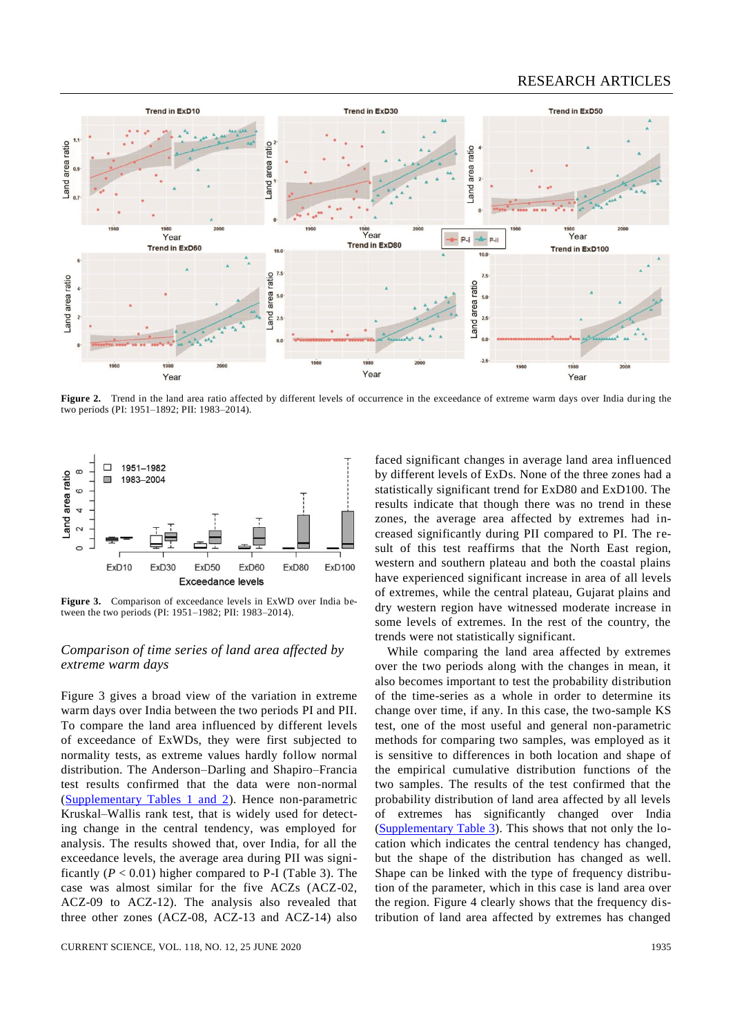

Figure 2. Trend in the land area ratio affected by different levels of occurrence in the exceedance of extreme warm days over India during the two periods (PI: 1951–1892; PII: 1983–2014).



**Figure 3.** Comparison of exceedance levels in ExWD over India between the two periods (PI: 1951–1982; PII: 1983–2014).

# *Comparison of time series of land area affected by extreme warm days*

Figure 3 gives a broad view of the variation in extreme warm days over India between the two periods PI and PII. To compare the land area influenced by different levels of exceedance of ExWDs, they were first subjected to normality tests, as extreme values hardly follow normal distribution. The Anderson–Darling and Shapiro–Francia test results confirmed that the data were non-normal [\(Supplementary Tables 1 and 2\)](https://www.currentscience.ac.in/Volumes/118/12/1930-suppl.pdf). Hence non-parametric Kruskal–Wallis rank test, that is widely used for detecting change in the central tendency, was employed for analysis. The results showed that, over India, for all the exceedance levels, the average area during PII was significantly  $(P < 0.01)$  higher compared to P-I (Table 3). The case was almost similar for the five ACZs (ACZ-02, ACZ-09 to ACZ-12). The analysis also revealed that three other zones (ACZ-08, ACZ-13 and ACZ-14) also faced significant changes in average land area influenced by different levels of ExDs. None of the three zones had a statistically significant trend for ExD80 and ExD100. The results indicate that though there was no trend in these zones, the average area affected by extremes had increased significantly during PII compared to PI. The result of this test reaffirms that the North East region, western and southern plateau and both the coastal plains have experienced significant increase in area of all levels of extremes, while the central plateau, Gujarat plains and dry western region have witnessed moderate increase in some levels of extremes. In the rest of the country, the trends were not statistically significant.

While comparing the land area affected by extremes over the two periods along with the changes in mean, it also becomes important to test the probability distribution of the time-series as a whole in order to determine its change over time, if any. In this case, the two-sample KS test, one of the most useful and general non-parametric methods for comparing two samples, was employed as it is sensitive to differences in both location and shape of the empirical cumulative distribution functions of the two samples. The results of the test confirmed that the probability distribution of land area affected by all levels of extremes has significantly changed over India [\(Supplementary Table 3\)](https://www.currentscience.ac.in/Volumes/118/12/1930-suppl.pdf). This shows that not only the location which indicates the central tendency has changed, but the shape of the distribution has changed as well. Shape can be linked with the type of frequency distribution of the parameter, which in this case is land area over the region. Figure 4 clearly shows that the frequency distribution of land area affected by extremes has changed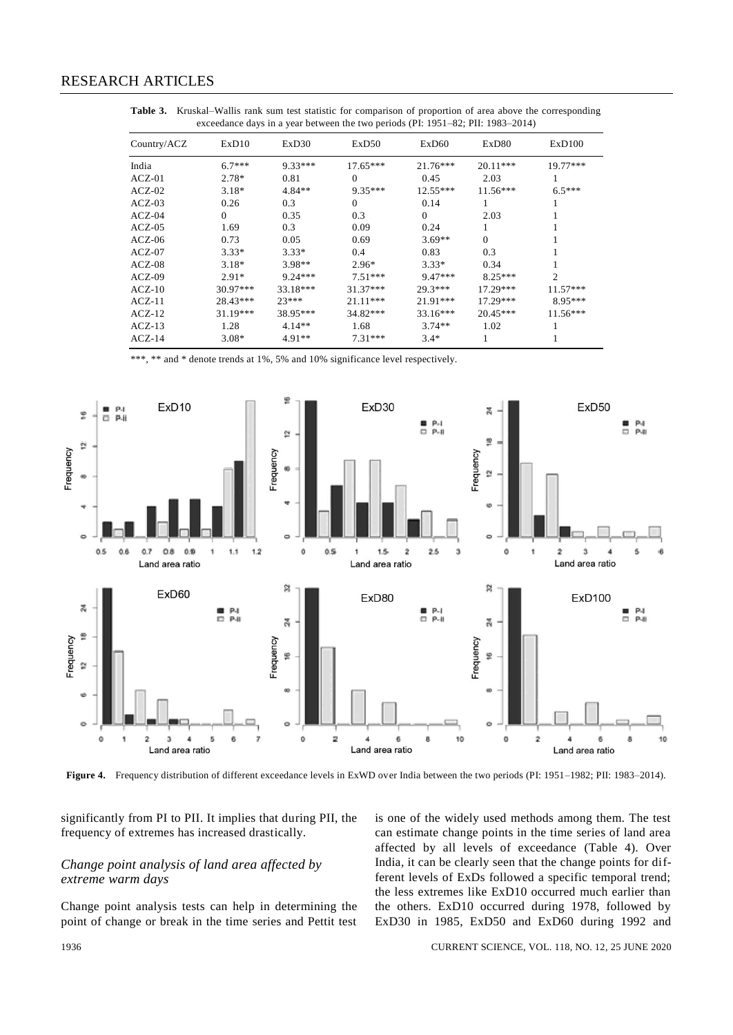| ExD10      | ExD30      | ExD50                         | ExD60      | ExD80                                                    | ExD100         |  |
|------------|------------|-------------------------------|------------|----------------------------------------------------------|----------------|--|
| $6.7***$   | 9.33***    | $17.65***$                    | $21.76***$ | $20.11***$                                               | $19.77***$     |  |
| $2.78*$    | 0.81       | $\Omega$                      | 0.45       | 2.03                                                     |                |  |
| $3.18*$    | $4.84**$   | $9.35***$                     | $12.55***$ | $11.56***$                                               | $6.5***$       |  |
| 0.26       | 0.3        | $\Omega$                      | 0.14       |                                                          |                |  |
| $\Omega$   | 0.35       | 0.3                           | $\Omega$   | 2.03                                                     |                |  |
| 1.69       | 0.3        | 0.09                          | 0.24       |                                                          |                |  |
| 0.73       | 0.05       | 0.69                          | $3.69**$   | $\Omega$                                                 |                |  |
| $3.33*$    | $3.33*$    | 0.4                           | 0.83       | 0.3                                                      |                |  |
| $3.18*$    | $3.98**$   | $2.96*$                       | $3.33*$    | 0.34                                                     |                |  |
| $2.91*$    | $9.24***$  | $7.51***$                     | $9.47***$  | $8.25***$                                                | $\overline{2}$ |  |
| $30.97***$ | $33.18***$ | $31.37***$                    | $29.3***$  | $17.29***$                                               | $11.57***$     |  |
| $28.43***$ | $23***$    | $21.11***$                    | $21.91***$ | $17.29***$                                               | $8.95***$      |  |
| $31.19***$ | 38.95***   | $34.82***$                    | $33.16***$ | $20.45***$                                               | $11.56***$     |  |
| 1.28       | $4.14**$   | 1.68                          | $3.74**$   | 1.02                                                     |                |  |
| $3.08*$    | $4.91**$   | $7.31***$                     | $3.4*$     |                                                          |                |  |
|            |            | --- <i>,</i> - -- -- <i>,</i> |            | $\ldots$ , $\mu$ and $\mu$ and $\mu$ and $\mu$ and $\mu$ |                |  |

**Table 3.** Kruskal–Wallis rank sum test statistic for comparison of proportion of area above the corresponding exceedance days in a year between the two periods (PI: 1951–82; PII: 1983–2014)

 $**$  and  $*$  denote trends at 1%, 5% and 10% significance level respectively.



Figure 4. Frequency distribution of different exceedance levels in ExWD over India between the two periods (PI: 1951–1982; PII: 1983–2014).

significantly from PI to PII. It implies that during PII, the frequency of extremes has increased drastically.

# *Change point analysis of land area affected by extreme warm days*

Change point analysis tests can help in determining the point of change or break in the time series and Pettit test

is one of the widely used methods among them. The test can estimate change points in the time series of land area affected by all levels of exceedance (Table 4). Over India, it can be clearly seen that the change points for different levels of ExDs followed a specific temporal trend; the less extremes like ExD10 occurred much earlier than the others. ExD10 occurred during 1978, followed by ExD30 in 1985, ExD50 and ExD60 during 1992 and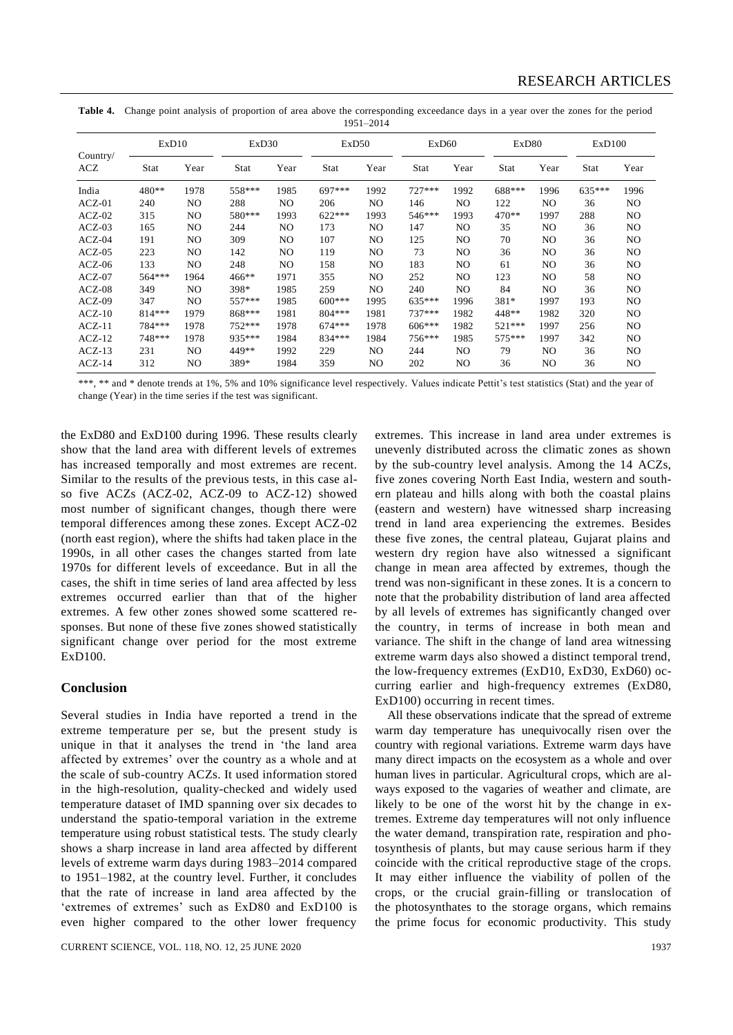**Table 4.** Change point analysis of proportion of area above the corresponding exceedance days in a year over the zones for the period 1951–2014

| Country/<br>ACZ | ExD10   |      | ExD30    |      | ExD50       |      | ExD <sub>60</sub> |                | ExD80   |                | ExD100 |      |
|-----------------|---------|------|----------|------|-------------|------|-------------------|----------------|---------|----------------|--------|------|
|                 | Stat    | Year | Stat     | Year | <b>Stat</b> | Year | Stat              | Year           | Stat    | Year           | Stat   | Year |
| India           | 480**   | 1978 | 558***   | 1985 | 697***      | 1992 | $727***$          | 1992           | 688***  | 1996           | 635*** | 1996 |
| $ACZ-01$        | 240     | NO.  | 288      | NO.  | 206         | NO   | 146               | NO             | 122     | NO.            | 36     | NO   |
| $ACZ-02$        | 315     | NO.  | 580***   | 1993 | $622***$    | 1993 | 546***            | 1993           | 470**   | 1997           | 288    | NO   |
| $ACZ-03$        | 165     | NO   | 244      | NO.  | 173         | NO   | 147               | NO.            | 35      | NO             | 36     | NO   |
| $ACZ-04$        | 191     | NO   | 309      | NO   | 107         | NO   | 125               | NO             | 70      | NO             | 36     | NO   |
| $ACZ-05$        | 223     | NO   | 142      | NO.  | 119         | NO   | 73                | NO.            | 36      | NO.            | 36     | NO   |
| $ACZ-06$        | 133     | NO   | 248      | NO.  | 158         | NO   | 183               | NO.            | 61      | NO             | 36     | NO   |
| $ACZ-07$        | 564***  | 1964 | $466***$ | 1971 | 355         | NO   | 252               | NO.            | 123     | NO.            | 58     | NO   |
| $ACZ-08$        | 349     | NO.  | 398*     | 1985 | 259         | NO   | 240               | NO.            | 84      | NO.            | 36     | NO   |
| $ACZ-09$        | 347     | NO.  | 557***   | 1985 | $600***$    | 1995 | 635***            | 1996           | 381*    | 1997           | 193    | NO   |
| $ACZ-10$        | 814 *** | 1979 | 868***   | 1981 | $804***$    | 1981 | $737***$          | 1982           | 448**   | 1982           | 320    | NO   |
| $ACZ-11$        | 784 *** | 1978 | 752 ***  | 1978 | $674***$    | 1978 | $606***$          | 1982           | 521 *** | 1997           | 256    | NO   |
| $ACZ-12$        | 748 *** | 1978 | 935 ***  | 1984 | 834 ***     | 1984 | 756***            | 1985           | 575***  | 1997           | 342    | NO   |
| $ACZ-13$        | 231     | NO.  | 449**    | 1992 | 229         | NO   | 244               | N <sub>O</sub> | 79      | N <sub>O</sub> | 36     | NO   |
| $ACZ-14$        | 312     | NO   | 389*     | 1984 | 359         | NO   | 202               | NO             | 36      | NO             | 36     | NO   |

\*\*\*, \*\* and \* denote trends at 1%, 5% and 10% significance level respectively. Values indicate Pettit's test statistics (Stat) and the year of change (Year) in the time series if the test was significant.

the ExD80 and ExD100 during 1996. These results clearly show that the land area with different levels of extremes has increased temporally and most extremes are recent. Similar to the results of the previous tests, in this case also five ACZs (ACZ-02, ACZ-09 to ACZ-12) showed most number of significant changes, though there were temporal differences among these zones. Except ACZ-02 (north east region), where the shifts had taken place in the 1990s, in all other cases the changes started from late 1970s for different levels of exceedance. But in all the cases, the shift in time series of land area affected by less extremes occurred earlier than that of the higher extremes. A few other zones showed some scattered responses. But none of these five zones showed statistically significant change over period for the most extreme ExD100.

# **Conclusion**

Several studies in India have reported a trend in the extreme temperature per se, but the present study is unique in that it analyses the trend in 'the land area affected by extremes' over the country as a whole and at the scale of sub-country ACZs. It used information stored in the high-resolution, quality-checked and widely used temperature dataset of IMD spanning over six decades to understand the spatio-temporal variation in the extreme temperature using robust statistical tests. The study clearly shows a sharp increase in land area affected by different levels of extreme warm days during 1983–2014 compared to 1951–1982, at the country level. Further, it concludes that the rate of increase in land area affected by the 'extremes of extremes' such as ExD80 and ExD100 is even higher compared to the other lower frequency

CURRENT SCIENCE, VOL. 118, NO. 12, 25 JUNE 2020 1937

extremes. This increase in land area under extremes is unevenly distributed across the climatic zones as shown by the sub-country level analysis. Among the 14 ACZs, five zones covering North East India, western and southern plateau and hills along with both the coastal plains (eastern and western) have witnessed sharp increasing trend in land area experiencing the extremes. Besides these five zones, the central plateau, Gujarat plains and western dry region have also witnessed a significant change in mean area affected by extremes, though the trend was non-significant in these zones. It is a concern to note that the probability distribution of land area affected by all levels of extremes has significantly changed over the country, in terms of increase in both mean and variance. The shift in the change of land area witnessing extreme warm days also showed a distinct temporal trend, the low-frequency extremes (ExD10, ExD30, ExD60) occurring earlier and high-frequency extremes (ExD80, ExD100) occurring in recent times.

All these observations indicate that the spread of extreme warm day temperature has unequivocally risen over the country with regional variations. Extreme warm days have many direct impacts on the ecosystem as a whole and over human lives in particular. Agricultural crops, which are always exposed to the vagaries of weather and climate, are likely to be one of the worst hit by the change in extremes. Extreme day temperatures will not only influence the water demand, transpiration rate, respiration and photosynthesis of plants, but may cause serious harm if they coincide with the critical reproductive stage of the crops. It may either influence the viability of pollen of the crops, or the crucial grain-filling or translocation of the photosynthates to the storage organs, which remains the prime focus for economic productivity. This study